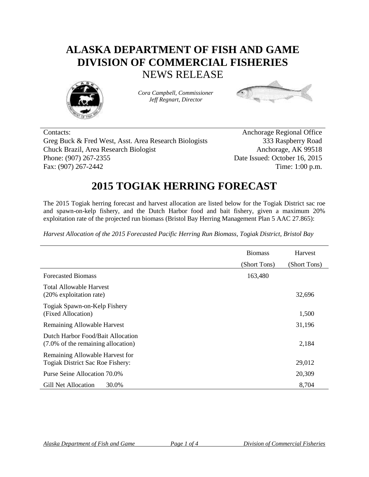## **ALASKA DEPARTMENT OF FISH AND GAME DIVISION OF COMMERCIAL FISHERIES** NEWS RELEASE



*Cora Campbell, Commissioner Jeff Regnart, Director*



Contacts: Anchorage Regional Office Greg Buck & Fred West, Asst. Area Research Biologists 333 Raspberry Road Chuck Brazil, Area Research Biologist Anchorage, AK 99518 Phone: (907) 267-2355 Date Issued: October 16, 2015 Fax: (907) 267-2442 Time: 1:00 p.m.

## **2015 TOGIAK HERRING FORECAST**

The 2015 Togiak herring forecast and harvest allocation are listed below for the Togiak District sac roe and spawn-on-kelp fishery, and the Dutch Harbor food and bait fishery, given a maximum 20% exploitation rate of the projected run biomass (Bristol Bay Herring Management Plan 5 AAC 27.865):

*Harvest Allocation of the 2015 Forecasted Pacific Herring Run Biomass, Togiak District, Bristol Bay*

|                                                                         | <b>Biomass</b> | Harvest      |
|-------------------------------------------------------------------------|----------------|--------------|
|                                                                         | (Short Tons)   | (Short Tons) |
| <b>Forecasted Biomass</b>                                               | 163,480        |              |
| <b>Total Allowable Harvest</b><br>(20% exploitation rate)               |                | 32,696       |
| Togiak Spawn-on-Kelp Fishery<br>(Fixed Allocation)                      |                | 1,500        |
| Remaining Allowable Harvest                                             |                | 31,196       |
| Dutch Harbor Food/Bait Allocation<br>(7.0% of the remaining allocation) |                | 2,184        |
| Remaining Allowable Harvest for<br>Togiak District Sac Roe Fishery:     |                | 29,012       |
| Purse Seine Allocation 70.0%                                            |                | 20,309       |
| Gill Net Allocation<br>30.0%                                            |                | 8,704        |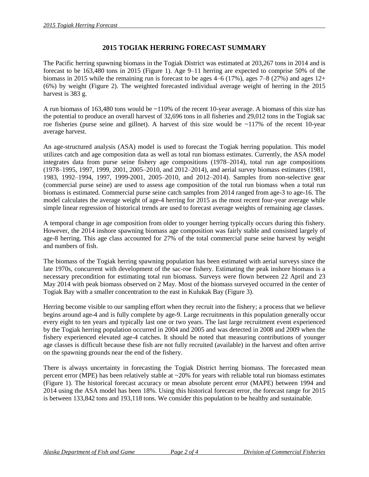## **2015 TOGIAK HERRING FORECAST SUMMARY**

The Pacific herring spawning biomass in the Togiak District was estimated at 203,267 tons in 2014 and is forecast to be 163,480 tons in 2015 (Figure 1). Age 9–11 herring are expected to comprise 50% of the biomass in 2015 while the remaining run is forecast to be ages  $4-6$  (17%), ages 7–8 (27%) and ages 12+ (6%) by weight (Figure 2). The weighted forecasted individual average weight of herring in the 2015 harvest is 383 g.

A run biomass of 163,480 tons would be ~110% of the recent 10-year average. A biomass of this size has the potential to produce an overall harvest of 32,696 tons in all fisheries and 29,012 tons in the Togiak sac roe fisheries (purse seine and gillnet). A harvest of this size would be ~117% of the recent 10-year average harvest.

An age-structured analysis (ASA) model is used to forecast the Togiak herring population. This model utilizes catch and age composition data as well as total run biomass estimates. Currently, the ASA model integrates data from purse seine fishery age compositions (1978–2014), total run age compositions (1978–1995, 1997, 1999, 2001, 2005–2010, and 2012–2014), and aerial survey biomass estimates (1981, 1983, 1992–1994, 1997, 1999-2001, 2005–2010, and 2012–2014). Samples from non-selective gear (commercial purse seine) are used to assess age composition of the total run biomass when a total run biomass is estimated. Commercial purse seine catch samples from 2014 ranged from age-3 to age-16. The model calculates the average weight of age-4 herring for 2015 as the most recent four-year average while simple linear regression of historical trends are used to forecast average weights of remaining age classes.

A temporal change in age composition from older to younger herring typically occurs during this fishery. However, the 2014 inshore spawning biomass age composition was fairly stable and consisted largely of age-8 herring. This age class accounted for 27% of the total commercial purse seine harvest by weight and numbers of fish.

The biomass of the Togiak herring spawning population has been estimated with aerial surveys since the late 1970s, concurrent with development of the sac-roe fishery. Estimating the peak inshore biomass is a necessary precondition for estimating total run biomass. Surveys were flown between 22 April and 23 May 2014 with peak biomass observed on 2 May. Most of the biomass surveyed occurred in the center of Togiak Bay with a smaller concentration to the east in Kulukak Bay (Figure 3).

Herring become visible to our sampling effort when they recruit into the fishery; a process that we believe begins around age-4 and is fully complete by age-9. Large recruitments in this population generally occur every eight to ten years and typically last one or two years. The last large recruitment event experienced by the Togiak herring population occurred in 2004 and 2005 and was detected in 2008 and 2009 when the fishery experienced elevated age-4 catches. It should be noted that measuring contributions of younger age classes is difficult because these fish are not fully recruited (available) in the harvest and often arrive on the spawning grounds near the end of the fishery.

There is always uncertainty in forecasting the Togiak District herring biomass. The forecasted mean percent error (MPE) has been relatively stable at  $\sim$ 20% for years with reliable total run biomass estimates (Figure 1). The historical forecast accuracy or mean absolute percent error (MAPE) between 1994 and 2014 using the ASA model has been 18%. Using this historical forecast error, the forecast range for 2015 is between 133,842 tons and 193,118 tons. We consider this population to be healthy and sustainable.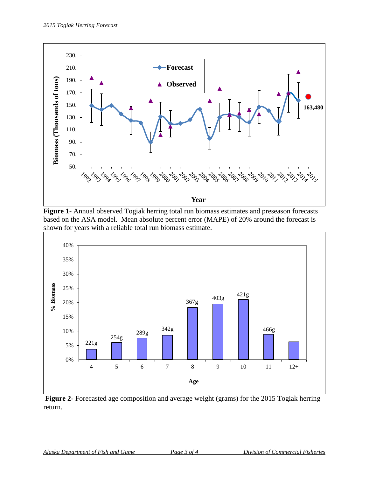

**Figure 1**- Annual observed Togiak herring total run biomass estimates and preseason forecasts based on the ASA model. Mean absolute percent error (MAPE) of 20% around the forecast is shown for years with a reliable total run biomass estimate.



**Figure 2**- Forecasted age composition and average weight (grams) for the 2015 Togiak herring return.